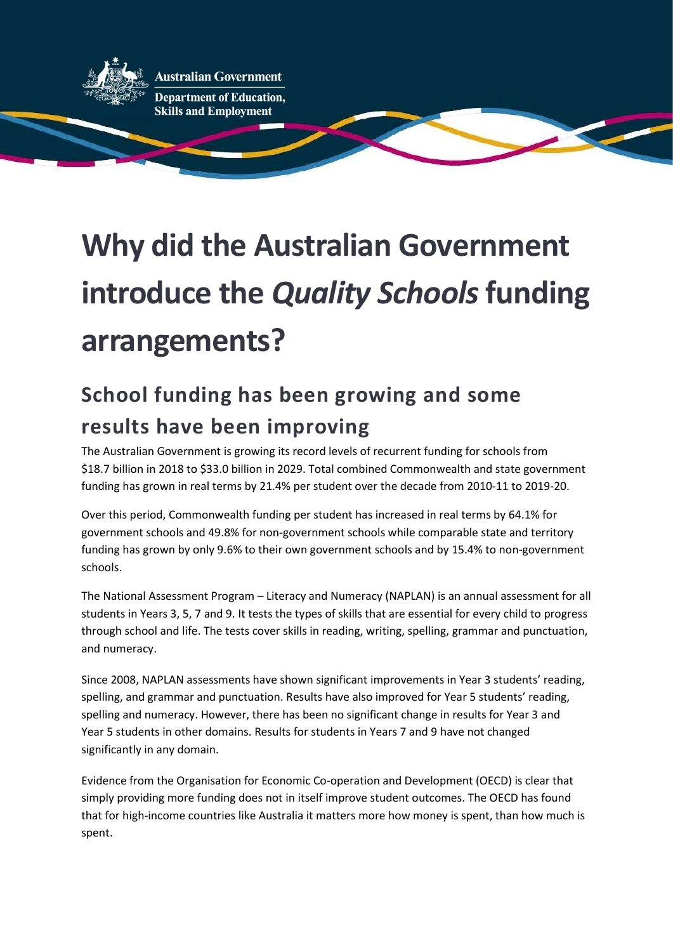

**Australian Government** 

**Department of Education. Skills and Employment** 

## Why did the Australian Government introduce the Quality Schools funding arrangements?

## School funding has been growing and some results have been improving

The Australian Government is growing its record levels of recurrent funding for schools from \$18.7 billion in 2018 to \$33.0 billion in 2029. Total combined Commonwealth and state government funding has grown in real terms by 21.4% per student over the decade from 2010-11 to 2019-20.

Over this period, Commonwealth funding per student has increased in real terms by 64.1% for government schools and 49.8% for non-government schools while comparable state and territory funding has grown by only 9.6% to their own government schools and by 15.4% to non-government schools.

The National Assessment Program – Literacy and Numeracy (NAPLAN) is an annual assessment for all students in Years 3, 5, 7 and 9. It tests the types of skills that are essential for every child to progress through school and life. The tests cover skills in reading, writing, spelling, grammar and punctuation, and numeracy.

Since 2008, NAPLAN assessments have shown significant improvements in Year 3 students' reading, spelling, and grammar and punctuation. Results have also improved for Year 5 students' reading, spelling and numeracy. However, there has been no significant change in results for Year 3 and Year 5 students in other domains. Results for students in Years 7 and 9 have not changed significantly in any domain.

Evidence from the Organisation for Economic Co-operation and Development (OECD) is clear that simply providing more funding does not in itself improve student outcomes. The OECD has found that for high-income countries like Australia it matters more how money is spent, than how much is spent.